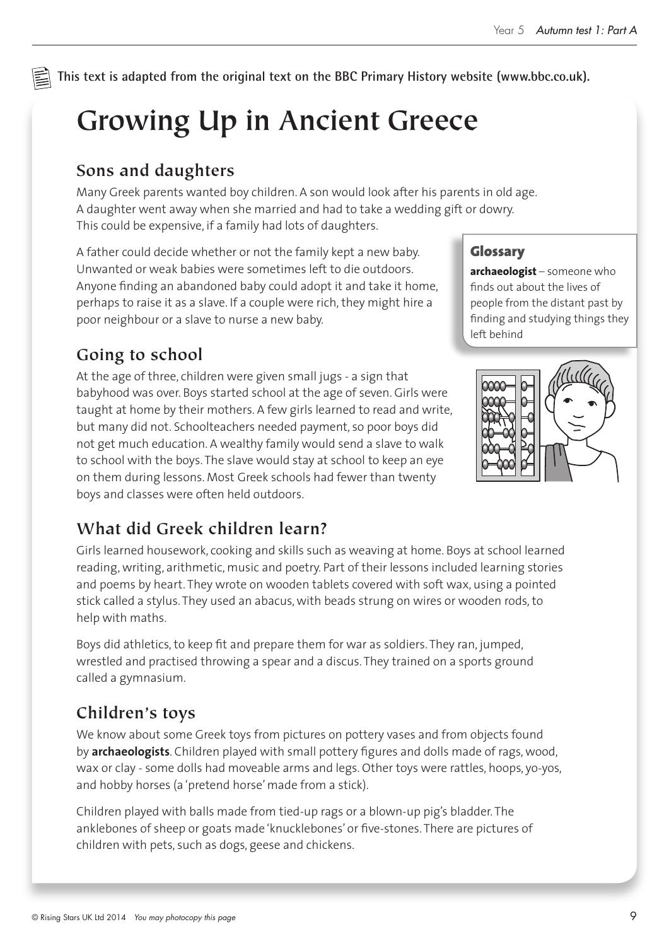**This text is adapted from the original text on the BBC Primary History website (www.bbc.co.uk).**

## **Growing Up in Ancient Greece**

### **Sons and daughters**

Many Greek parents wanted boy children. A son would look after his parents in old age. A daughter went away when she married and had to take a wedding gift or dowry. This could be expensive, if a family had lots of daughters.

A father could decide whether or not the family kept a new baby. Unwanted or weak babies were sometimes left to die outdoors. Anyone finding an abandoned baby could adopt it and take it home, perhaps to raise it as a slave. If a couple were rich, they might hire a poor neighbour or a slave to nurse a new baby.

## **Going to school**

At the age of three, children were given small jugs - a sign that babyhood was over. Boys started school at the age of seven. Girls were taught at home by their mothers. A few girls learned to read and write, but many did not. Schoolteachers needed payment, so poor boys did not get much education. A wealthy family would send a slave to walk to school with the boys. The slave would stay at school to keep an eye on them during lessons. Most Greek schools had fewer than twenty boys and classes were often held outdoors.

#### Glossary

**archaeologist** – someone who finds out about the lives of people from the distant past by finding and studying things they left behind



## **What did Greek children learn?**

Girls learned housework, cooking and skills such as weaving at home. Boys at school learned reading, writing, arithmetic, music and poetry. Part of their lessons included learning stories and poems by heart. They wrote on wooden tablets covered with soft wax, using a pointed stick called a stylus. They used an abacus, with beads strung on wires or wooden rods, to help with maths.

Boys did athletics, to keep fit and prepare them for war as soldiers. They ran, jumped, wrestled and practised throwing a spear and a discus. They trained on a sports ground called a gymnasium.

## **Children's toys**

We know about some Greek toys from pictures on pottery vases and from objects found by **archaeologists**. Children played with small pottery figures and dolls made of rags, wood, wax or clay - some dolls had moveable arms and legs. Other toys were rattles, hoops, yo-yos, and hobby horses (a 'pretend horse' made from a stick).

Children played with balls made from tied-up rags or a blown-up pig's bladder. The anklebones of sheep or goats made 'knucklebones' or five-stones. There are pictures of children with pets, such as dogs, geese and chickens.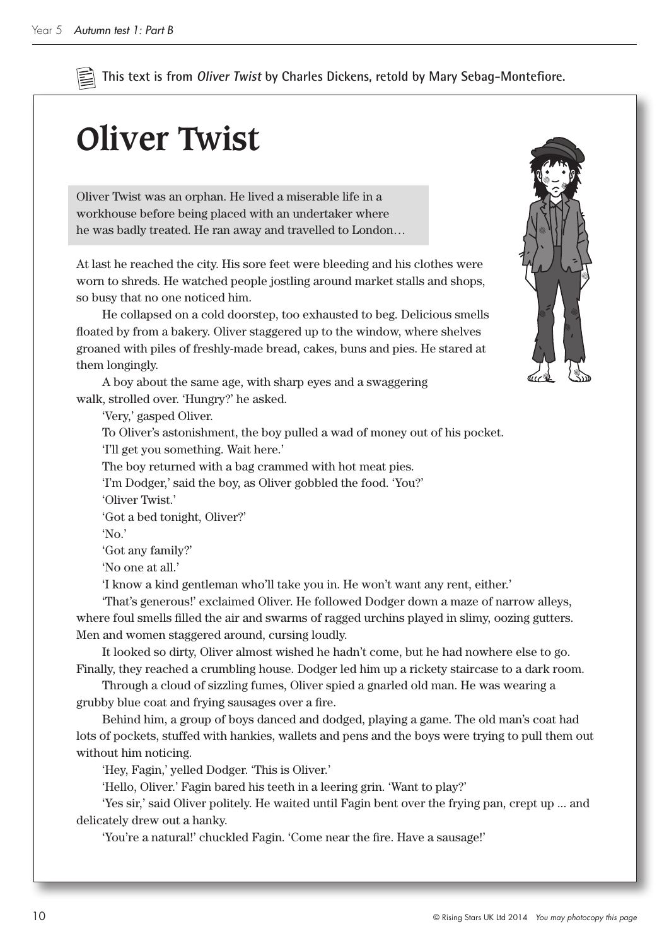**This text is from Oliver Twist by Charles Dickens, retold by Mary Sebag-Montefiore.**

# **Oliver Twist**

Oliver Twist was an orphan. He lived a miserable life in a workhouse before being placed with an undertaker where he was badly treated. He ran away and travelled to London…

At last he reached the city. His sore feet were bleeding and his clothes were worn to shreds. He watched people jostling around market stalls and shops, so busy that no one noticed him.



He collapsed on a cold doorstep, too exhausted to beg. Delicious smells floated by from a bakery. Oliver staggered up to the window, where shelves groaned with piles of freshly-made bread, cakes, buns and pies. He stared at them longingly.

A boy about the same age, with sharp eyes and a swaggering walk, strolled over. 'Hungry?' he asked.

'Very,' gasped Oliver.

To Oliver's astonishment, the boy pulled a wad of money out of his pocket.

'I'll get you something. Wait here.'

The boy returned with a bag crammed with hot meat pies.

'I'm Dodger,' said the boy, as Oliver gobbled the food. 'You?'

'Oliver Twist.'

'Got a bed tonight, Oliver?'

'No.'

'Got any family?'

'No one at all.'

'I know a kind gentleman who'll take you in. He won't want any rent, either.'

'That's generous!' exclaimed Oliver. He followed Dodger down a maze of narrow alleys, where foul smells filled the air and swarms of ragged urchins played in slimy, oozing gutters. Men and women staggered around, cursing loudly.

It looked so dirty, Oliver almost wished he hadn't come, but he had nowhere else to go. Finally, they reached a crumbling house. Dodger led him up a rickety staircase to a dark room.

Through a cloud of sizzling fumes, Oliver spied a gnarled old man. He was wearing a grubby blue coat and frying sausages over a fire.

Behind him, a group of boys danced and dodged, playing a game. The old man's coat had lots of pockets, stuffed with hankies, wallets and pens and the boys were trying to pull them out without him noticing.

'Hey, Fagin,' yelled Dodger. 'This is Oliver.'

'Hello, Oliver.' Fagin bared his teeth in a leering grin. 'Want to play?'

'Yes sir,' said Oliver politely. He waited until Fagin bent over the frying pan, crept up ... and delicately drew out a hanky.

'You're a natural!' chuckled Fagin. 'Come near the fire. Have a sausage!'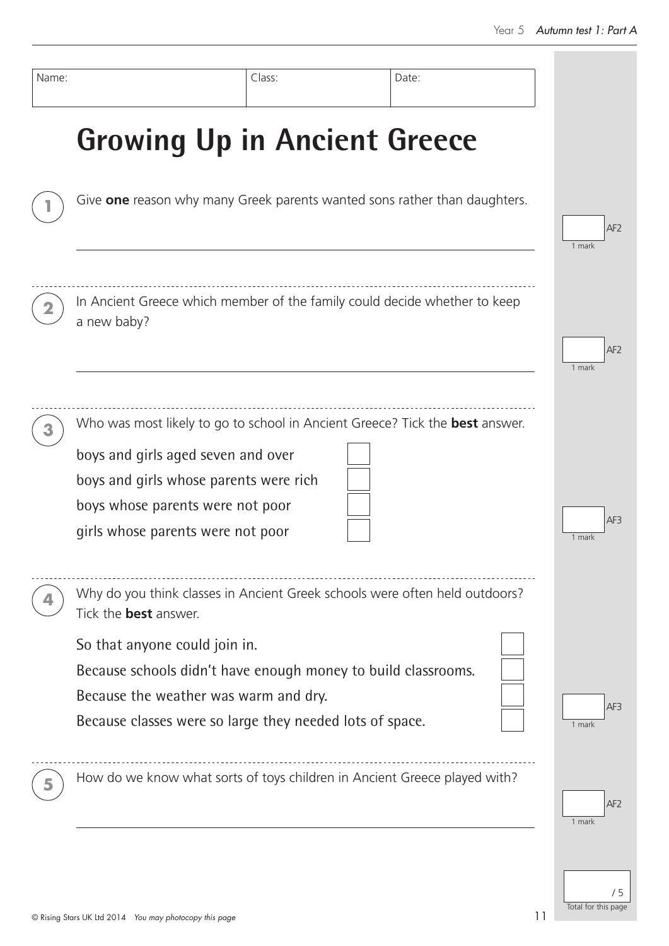r.

| Name: |                                                                                                                                                                                                                                                                                                                    | Class: | Date: |                            |
|-------|--------------------------------------------------------------------------------------------------------------------------------------------------------------------------------------------------------------------------------------------------------------------------------------------------------------------|--------|-------|----------------------------|
|       | <b>Growing Up in Ancient Greece</b>                                                                                                                                                                                                                                                                                |        |       |                            |
|       | Give one reason why many Greek parents wanted sons rather than daughters.                                                                                                                                                                                                                                          |        |       | AF2<br>1 mark              |
|       | In Ancient Greece which member of the family could decide whether to keep<br>a new baby?                                                                                                                                                                                                                           |        |       | AF <sub>2</sub><br>1 mark  |
|       | Who was most likely to go to school in Ancient Greece? Tick the <b>best</b> answer.<br>boys and girls aged seven and over<br>boys and girls whose parents were rich<br>boys whose parents were not poor<br>girls whose parents were not poor                                                                       |        |       | AF3<br>1 mark              |
|       | Why do you think classes in Ancient Greek schools were often held outdoors?<br>Tick the <b>best</b> answer.<br>So that anyone could join in.<br>Because schools didn't have enough money to build classrooms.<br>Because the weather was warm and dry.<br>Because classes were so large they needed lots of space. |        |       | AF3<br>1 mark              |
|       | How do we know what sorts of toys children in Ancient Greece played with?                                                                                                                                                                                                                                          |        |       | AF <sub>2</sub><br>1 mark  |
|       |                                                                                                                                                                                                                                                                                                                    |        |       | / 5<br>Total for this page |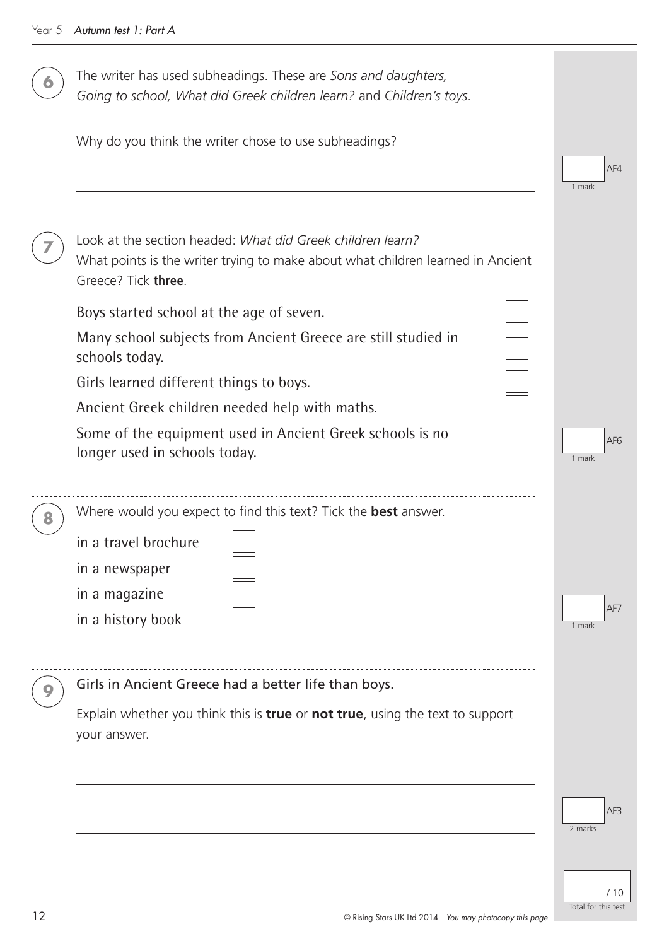| The writer has used subheadings. These are Sons and daughters,<br>Going to school, What did Greek children learn? and Children's toys.                                                                                                                                                                                                                                                                                                                                                         |                            |  |
|------------------------------------------------------------------------------------------------------------------------------------------------------------------------------------------------------------------------------------------------------------------------------------------------------------------------------------------------------------------------------------------------------------------------------------------------------------------------------------------------|----------------------------|--|
| Why do you think the writer chose to use subheadings?                                                                                                                                                                                                                                                                                                                                                                                                                                          | AF4<br>1 mark              |  |
| Look at the section headed: What did Greek children learn?<br>What points is the writer trying to make about what children learned in Ancient<br>Greece? Tick three.<br>Boys started school at the age of seven.<br>Many school subjects from Ancient Greece are still studied in<br>schools today.<br>Girls learned different things to boys.<br>Ancient Greek children needed help with maths.<br>Some of the equipment used in Ancient Greek schools is no<br>longer used in schools today. | AF <sub>6</sub><br>1 mark  |  |
| Where would you expect to find this text? Tick the <b>best</b> answer.<br>in a travel brochure<br>in a newspaper<br>in a magazine<br>in a history book                                                                                                                                                                                                                                                                                                                                         | AF7<br>1 mark              |  |
| Girls in Ancient Greece had a better life than boys.<br>Explain whether you think this is true or not true, using the text to support<br>your answer.                                                                                                                                                                                                                                                                                                                                          | AF3<br>2 marks             |  |
|                                                                                                                                                                                                                                                                                                                                                                                                                                                                                                | /10<br>Total for this test |  |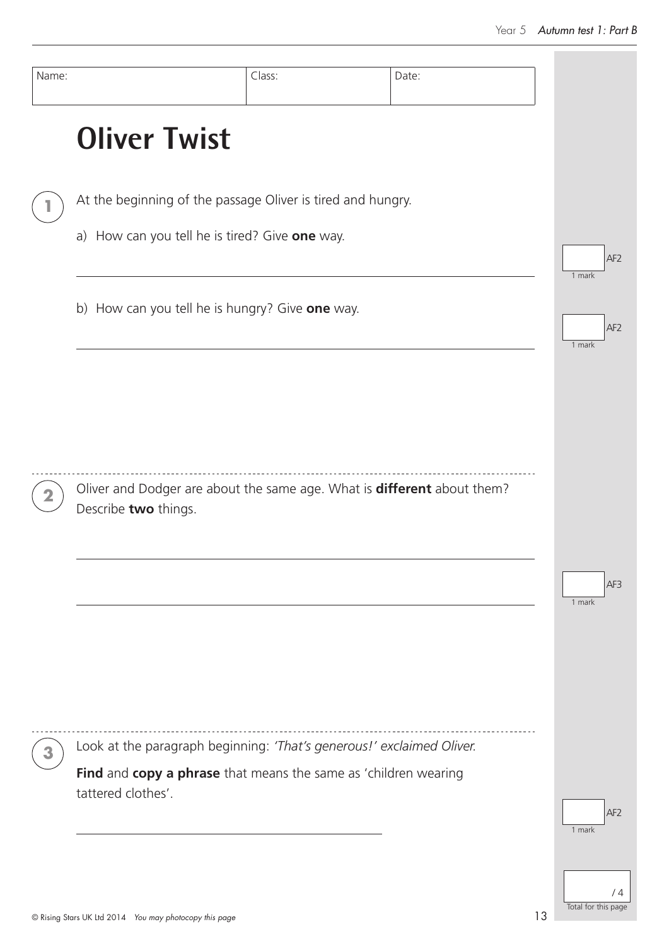| Name: |                                                                                                                                                                | Class: | Date: |                                     |
|-------|----------------------------------------------------------------------------------------------------------------------------------------------------------------|--------|-------|-------------------------------------|
|       | <b>Oliver Twist</b>                                                                                                                                            |        |       |                                     |
|       | At the beginning of the passage Oliver is tired and hungry.<br>a) How can you tell he is tired? Give one way.                                                  |        |       | AF <sub>2</sub><br>1 mark           |
|       | b) How can you tell he is hungry? Give one way.                                                                                                                |        |       | AF <sub>2</sub><br>1 mark           |
|       | Oliver and Dodger are about the same age. What is <b>different</b> about them?<br>Describe two things.                                                         |        |       | AF3<br>1 mark                       |
|       | Look at the paragraph beginning: 'That's generous!' exclaimed Oliver.<br>Find and copy a phrase that means the same as 'children wearing<br>tattered clothes'. |        |       | AF <sub>2</sub>                     |
|       |                                                                                                                                                                |        |       | 1 mark<br>74<br>Total for this page |